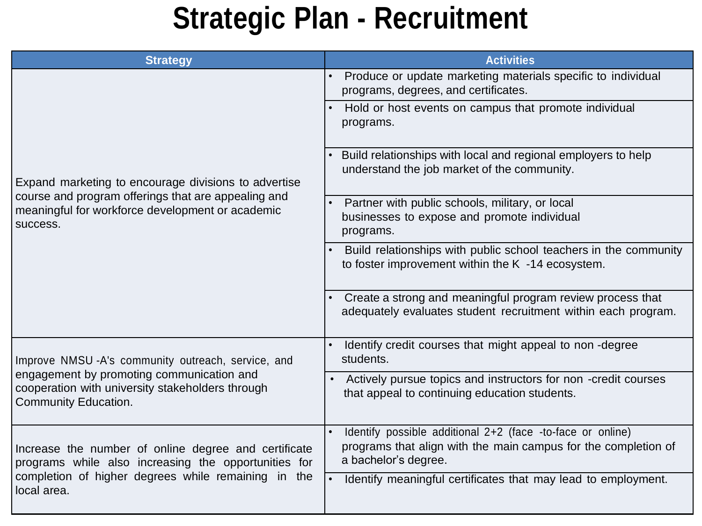#### **Strategic Plan - Recruitment**

| <b>Strategy</b>                                                                                                                                                                    | <b>Activities</b>                                                                                                                                    |
|------------------------------------------------------------------------------------------------------------------------------------------------------------------------------------|------------------------------------------------------------------------------------------------------------------------------------------------------|
| Expand marketing to encourage divisions to advertise<br>course and program offerings that are appealing and<br>meaningful for workforce development or academic<br>success.        | Produce or update marketing materials specific to individual<br>programs, degrees, and certificates.                                                 |
|                                                                                                                                                                                    | Hold or host events on campus that promote individual<br>programs.                                                                                   |
|                                                                                                                                                                                    | Build relationships with local and regional employers to help<br>understand the job market of the community.                                         |
|                                                                                                                                                                                    | Partner with public schools, military, or local<br>businesses to expose and promote individual<br>programs.                                          |
|                                                                                                                                                                                    | Build relationships with public school teachers in the community<br>to foster improvement within the K -14 ecosystem.                                |
|                                                                                                                                                                                    | Create a strong and meaningful program review process that<br>adequately evaluates student recruitment within each program.                          |
| Improve NMSU-A's community outreach, service, and<br>engagement by promoting communication and<br>cooperation with university stakeholders through<br>Community Education.         | Identify credit courses that might appeal to non-degree<br>students.                                                                                 |
|                                                                                                                                                                                    | Actively pursue topics and instructors for non -credit courses<br>that appeal to continuing education students.                                      |
| Increase the number of online degree and certificate<br>programs while also increasing the opportunities for<br>completion of higher degrees while remaining in the<br>local area. | Identify possible additional 2+2 (face -to-face or online)<br>programs that align with the main campus for the completion of<br>a bachelor's degree. |
|                                                                                                                                                                                    | Identify meaningful certificates that may lead to employment.                                                                                        |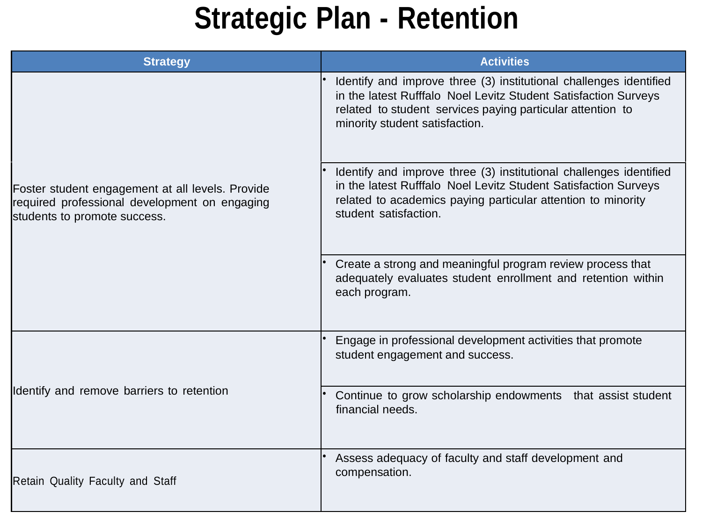# **Strategic Plan - Retention**

| <b>Strategy</b>                                                                                                                   | <b>Activities</b>                                                                                                                                                                                                                     |
|-----------------------------------------------------------------------------------------------------------------------------------|---------------------------------------------------------------------------------------------------------------------------------------------------------------------------------------------------------------------------------------|
| Foster student engagement at all levels. Provide<br>required professional development on engaging<br>students to promote success. | Identify and improve three (3) institutional challenges identified<br>in the latest Rufffalo Noel Levitz Student Satisfaction Surveys<br>related to student services paying particular attention to<br>minority student satisfaction. |
|                                                                                                                                   | Identify and improve three (3) institutional challenges identified<br>in the latest Rufffalo Noel Levitz Student Satisfaction Surveys<br>related to academics paying particular attention to minority<br>student satisfaction.        |
|                                                                                                                                   | Create a strong and meaningful program review process that<br>adequately evaluates student enrollment and retention within<br>each program.                                                                                           |
| Identify and remove barriers to retention                                                                                         | Engage in professional development activities that promote<br>student engagement and success.                                                                                                                                         |
|                                                                                                                                   | Continue to grow scholarship endowments that assist student<br>financial needs.                                                                                                                                                       |
| <b>Retain Quality Faculty and Staff</b>                                                                                           | Assess adequacy of faculty and staff development and<br>compensation.                                                                                                                                                                 |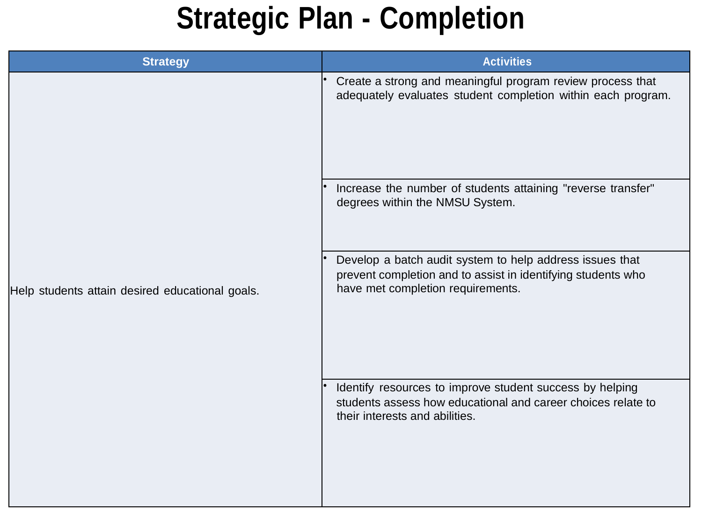## **Strategic Plan - Completion**

| <b>Strategy</b>                                 | <b>Activities</b>                                                                                                                                             |
|-------------------------------------------------|---------------------------------------------------------------------------------------------------------------------------------------------------------------|
| Help students attain desired educational goals. | Create a strong and meaningful program review process that<br>adequately evaluates student completion within each program.                                    |
|                                                 | Increase the number of students attaining "reverse transfer"<br>degrees within the NMSU System.                                                               |
|                                                 | Develop a batch audit system to help address issues that<br>prevent completion and to assist in identifying students who<br>have met completion requirements. |
|                                                 | Identify resources to improve student success by helping<br>students assess how educational and career choices relate to<br>their interests and abilities.    |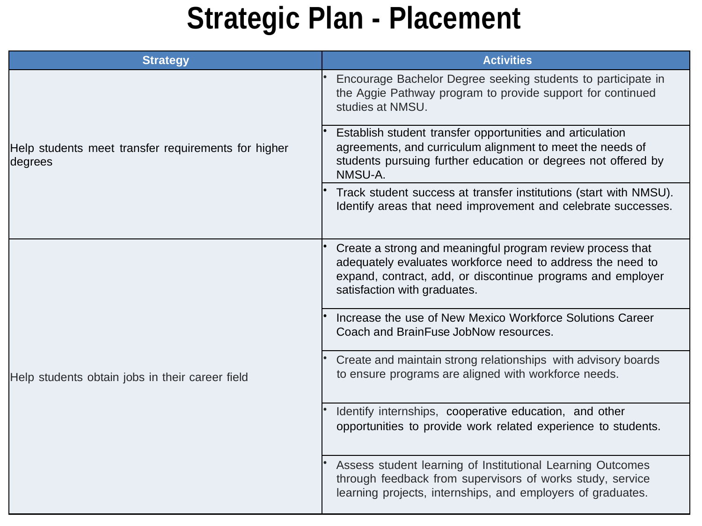## **Strategic Plan - Placement**

| <b>Strategy</b>                                                | <b>Activities</b>                                                                                                                                                                                                       |
|----------------------------------------------------------------|-------------------------------------------------------------------------------------------------------------------------------------------------------------------------------------------------------------------------|
| Help students meet transfer requirements for higher<br>degrees | Encourage Bachelor Degree seeking students to participate in<br>the Aggie Pathway program to provide support for continued<br>studies at NMSU.                                                                          |
|                                                                | Establish student transfer opportunities and articulation<br>agreements, and curriculum alignment to meet the needs of<br>students pursuing further education or degrees not offered by<br>NMSU-A.                      |
|                                                                | Track student success at transfer institutions (start with NMSU).<br>Identify areas that need improvement and celebrate successes.                                                                                      |
| Help students obtain jobs in their career field                | Create a strong and meaningful program review process that<br>adequately evaluates workforce need to address the need to<br>expand, contract, add, or discontinue programs and employer<br>satisfaction with graduates. |
|                                                                | Increase the use of New Mexico Workforce Solutions Career<br>Coach and BrainFuse JobNow resources.                                                                                                                      |
|                                                                | Create and maintain strong relationships with advisory boards<br>to ensure programs are aligned with workforce needs.                                                                                                   |
|                                                                | Identify internships, cooperative education, and other<br>opportunities to provide work related experience to students.                                                                                                 |
|                                                                | Assess student learning of Institutional Learning Outcomes<br>through feedback from supervisors of works study, service<br>learning projects, internships, and employers of graduates.                                  |